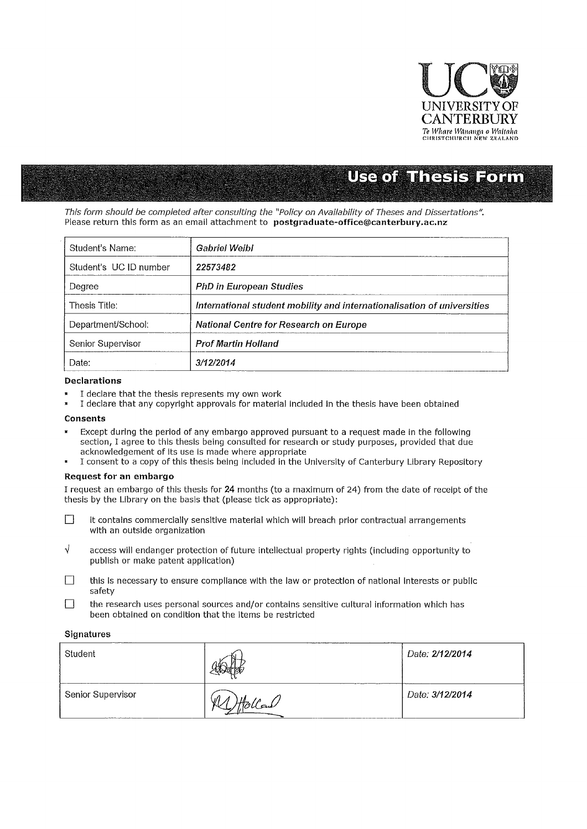

# **Use of Thesis Form**

This form should be completed after consulting the "Policy on Availability of Theses and Dissertations". Please return this form as an email attachment to **postgraduate-office@canterbury.ac.nz** 

| Student's Name:        | Gabriel Weibl                                                           |
|------------------------|-------------------------------------------------------------------------|
| Student's UC ID number | 22573482                                                                |
| Degree                 | <b>PhD in European Studies</b>                                          |
| Thesis Title:          | International student mobility and internationalisation of universities |
| Department/School:     | National Centre for Research on Europe                                  |
| Senior Supervisor      | <b>Prof Martin Holland</b>                                              |
| Date:                  | 3/12/2014                                                               |

### Declarations

- I declare that the thesis represents my own work
- I declare that any copyright approvals for material included in the thesis have been obtained

## Consents

- Except during the period of any embargo approved pursuant to a request made in the following section, I agree to this thesis being consulted for research or study purposes, provided that due acknowledgement of its use is made where appropriate
- I consent to a copy of this thesis being included in the University of Canterbury Library Repository

#### Request for an embargo

I request an embargo of this thesis for 24 months (to a maximum of 24) from the date of receipt of the thesis by the Library on the basis that (please tick as appropriate):

- $\Box$  it contains commercially sensitive material which will breach prior contractual arrangements with an outside organization
- $\sqrt{ }$  access will endanger protection of future intellectual property rights (including opportunity to publish or make patent application)
- $\Box$  this is necessary to ensure compliance with the law or protection of national interests or public safety
- $\Box$  the research uses personal sources and/or contains sensitive cultural information which has been obtained on condition that the items be restricted

## **Signatures**

| Student           |                  | Date: 2/12/2014 |
|-------------------|------------------|-----------------|
| Senior Supervisor | JI.<br>ملبتوياتا | Date: 3/12/2014 |